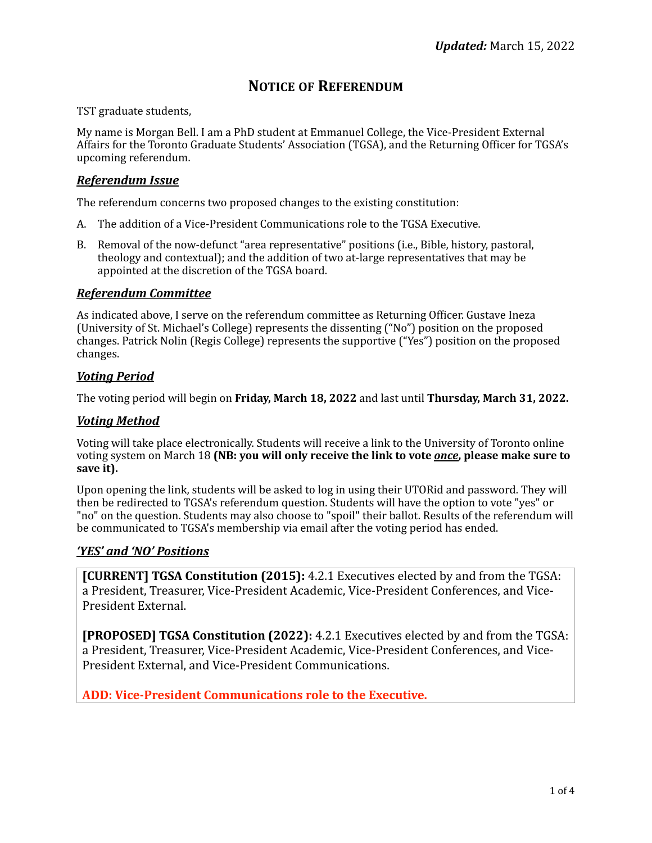# **NOTICE OF REFERENDUM**

TST graduate students,

My name is Morgan Bell. I am a PhD student at Emmanuel College, the Vice-President External Affairs for the Toronto Graduate Students' Association (TGSA), and the Returning Officer for TGSA's upcoming referendum.

## *Referendum Issue*

The referendum concerns two proposed changes to the existing constitution:

- A. The addition of a Vice-President Communications role to the TGSA Executive.
- B. Removal of the now-defunct "area representative" positions (i.e., Bible, history, pastoral, theology and contextual); and the addition of two at-large representatives that may be appointed at the discretion of the TGSA board.

## *Referendum Committee*

As indicated above, I serve on the referendum committee as Returning Officer. Gustave Ineza (University of St. Michael's College) represents the dissenting ("No") position on the proposed changes. Patrick Nolin (Regis College) represents the supportive ("Yes") position on the proposed changes. 

## *Voting Period*

The voting period will begin on **Friday, March 18, 2022** and last until **Thursday, March 31, 2022.** 

### *Voting Method*

Voting will take place electronically. Students will receive a link to the University of Toronto online voting system on March 18 **(NB: you will only receive the link to vote** *once***, please make sure to** save it).

Upon opening the link, students will be asked to log in using their UTORid and password. They will then be redirected to TGSA's referendum question. Students will have the option to vote "yes" or "no" on the question. Students may also choose to "spoil" their ballot. Results of the referendum will be communicated to TGSA's membership via email after the voting period has ended.

### *'YES' and 'NO' Positions*

**[CURRENT] TGSA Constitution (2015):** 4.2.1 Executives elected by and from the TGSA: a President, Treasurer, Vice-President Academic, Vice-President Conferences, and Vice-President External.

**[PROPOSED] TGSA Constitution (2022):** 4.2.1 Executives elected by and from the TGSA: a President, Treasurer, Vice-President Academic, Vice-President Conferences, and Vice-President External, and Vice-President Communications.

ADD: Vice-President Communications role to the Executive.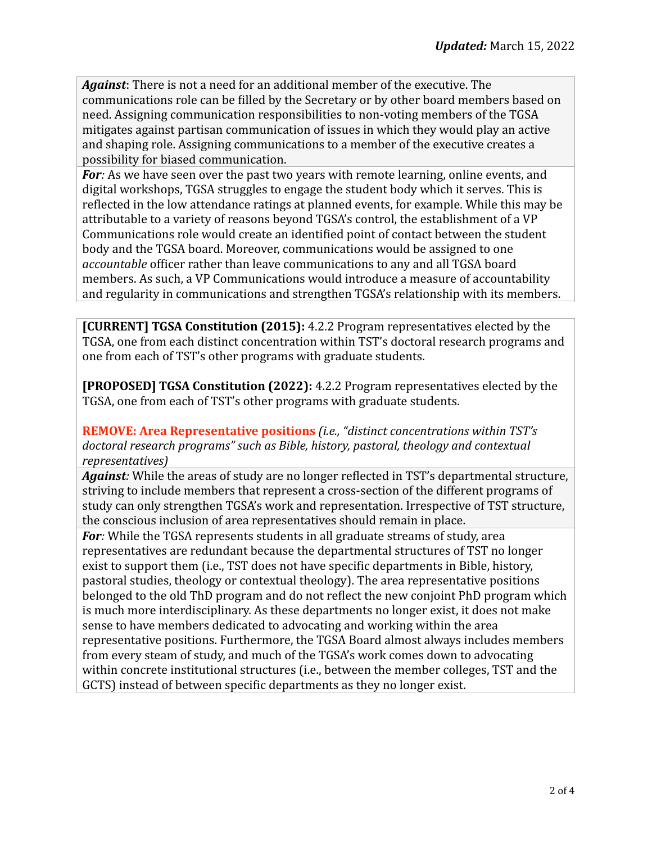Against: There is not a need for an additional member of the executive. The communications role can be filled by the Secretary or by other board members based on need. Assigning communication responsibilities to non-voting members of the TGSA mitigates against partisan communication of issues in which they would play an active and shaping role. Assigning communications to a member of the executive creates a possibility for biased communication.

For: As we have seen over the past two years with remote learning, online events, and digital workshops, TGSA struggles to engage the student body which it serves. This is reflected in the low attendance ratings at planned events, for example. While this may be attributable to a variety of reasons beyond TGSA's control, the establishment of a VP Communications role would create an identified point of contact between the student body and the TGSA board. Moreover, communications would be assigned to one *accountable* officer rather than leave communications to any and all TGSA board members. As such, a VP Communications would introduce a measure of accountability and regularity in communications and strengthen TGSA's relationship with its members.

**[CURRENT] TGSA Constitution (2015):** 4.2.2 Program representatives elected by the TGSA, one from each distinct concentration within TST's doctoral research programs and one from each of TST's other programs with graduate students.

**[PROPOSED] TGSA Constitution (2022):** 4.2.2 Program representatives elected by the TGSA, one from each of TST's other programs with graduate students.

**REMOVE: Area Representative positions** (i.e., "distinct concentrations within TST's doctoral research programs" such as Bible, history, pastoral, theology and contextual *representatives)*

**Against**: While the areas of study are no longer reflected in TST's departmental structure, striving to include members that represent a cross-section of the different programs of study can only strengthen TGSA's work and representation. Irrespective of TST structure, the conscious inclusion of area representatives should remain in place.

**For**: While the TGSA represents students in all graduate streams of study, area representatives are redundant because the departmental structures of TST no longer exist to support them (i.e., TST does not have specific departments in Bible, history, pastoral studies, theology or contextual theology). The area representative positions belonged to the old ThD program and do not reflect the new conjoint PhD program which is much more interdisciplinary. As these departments no longer exist, it does not make sense to have members dedicated to advocating and working within the area representative positions. Furthermore, the TGSA Board almost always includes members from every steam of study, and much of the TGSA's work comes down to advocating within concrete institutional structures (i.e., between the member colleges, TST and the GCTS) instead of between specific departments as they no longer exist.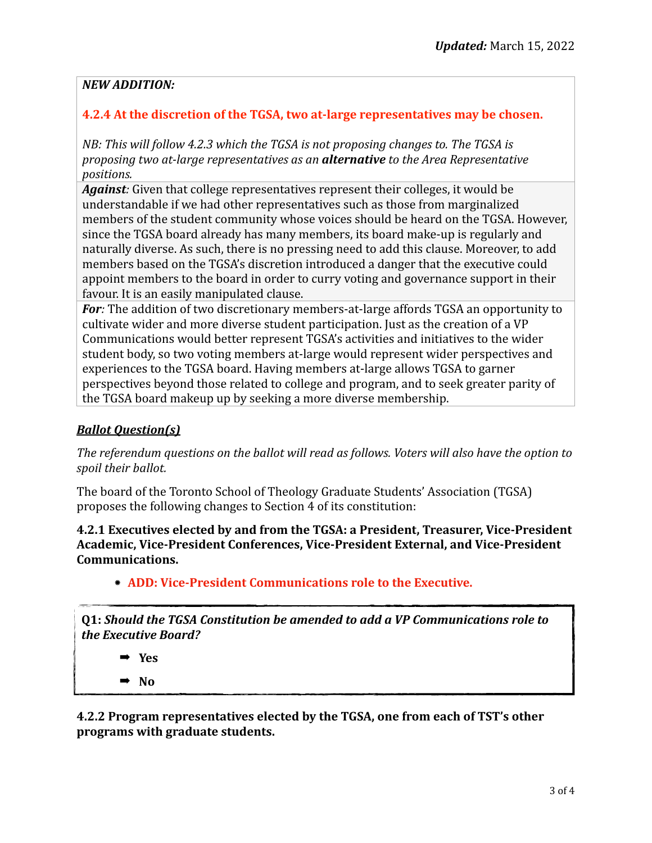## *NEW ADDITION:*

## **4.2.4** At the discretion of the TGSA, two at-large representatives may be chosen.

*NB: This will follow 4.2.3 which the TGSA is not proposing changes to. The TGSA is proposing two at-large representatives as an alternative to the Area Representative positions.* 

**Against**: Given that college representatives represent their colleges, it would be understandable if we had other representatives such as those from marginalized members of the student community whose voices should be heard on the TGSA. However, since the TGSA board already has many members, its board make-up is regularly and naturally diverse. As such, there is no pressing need to add this clause. Moreover, to add members based on the TGSA's discretion introduced a danger that the executive could appoint members to the board in order to curry voting and governance support in their favour. It is an easily manipulated clause.

**For**: The addition of two discretionary members-at-large affords TGSA an opportunity to cultivate wider and more diverse student participation. Just as the creation of a VP Communications would better represent TGSA's activities and initiatives to the wider student body, so two voting members at-large would represent wider perspectives and experiences to the TGSA board. Having members at-large allows TGSA to garner perspectives beyond those related to college and program, and to seek greater parity of the TGSA board makeup up by seeking a more diverse membership.

## *Ballot Question(s)*

The referendum questions on the ballot will read as follows. Voters will also have the option to spoil their ballot.

The board of the Toronto School of Theology Graduate Students' Association (TGSA) proposes the following changes to Section 4 of its constitution:

**4.2.1 Executives elected by and from the TGSA: a President, Treasurer, Vice-President** Academic, Vice-President Conferences, Vice-President External, and Vice-President **Communications.**

**ADD: Vice-President Communications role to the Executive.** 

**Q1:** Should the TGSA Constitution be amended to add a VP Communications role to *the Executive Board?*

➡ **Yes** 

➡ **No**

**4.2.2 Program representatives elected by the TGSA, one from each of TST's other programs with graduate students.**